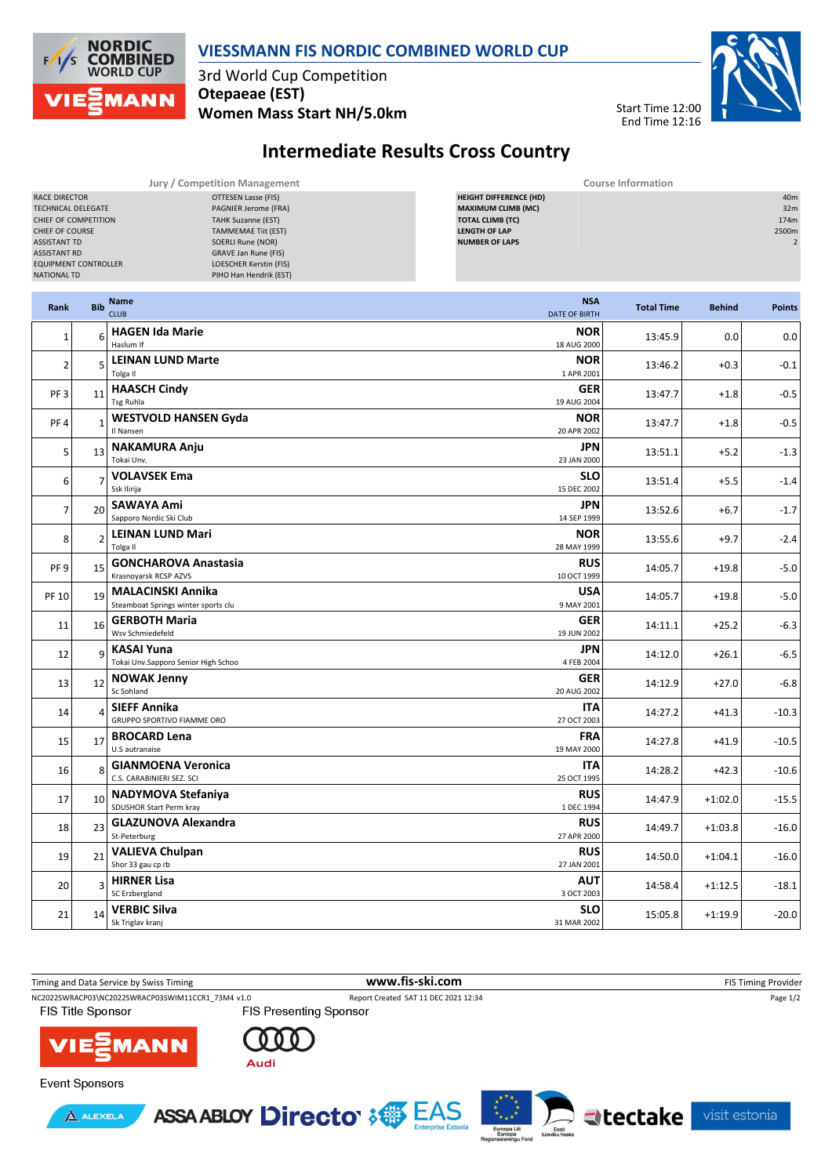

## **VIESSMANN FIS NORDIC COMBINED WORLD CUP**

3rd World Cup Competition **Otepaeae (EST) Women Mass Start NH/5.0km**



## **Intermediate Results Cross Country**

| Jury / Competition Management |                           | <b>Course Information</b>     |                 |  |  |  |
|-------------------------------|---------------------------|-------------------------------|-----------------|--|--|--|
| RACE DIRECTOR                 | OTTESEN Lasse (FIS)       | <b>HEIGHT DIFFERENCE (HD)</b> | 40 <sub>m</sub> |  |  |  |
| <b>TECHNICAL DELEGATE</b>     | PAGNIER Jerome (FRA)      | <b>MAXIMUM CLIMB (MC)</b>     | 32m             |  |  |  |
| CHIEF OF COMPETITION          | <b>TAHK Suzanne (EST)</b> | <b>TOTAL CLIMB (TC)</b>       | 174m            |  |  |  |
| CHIEF OF COURSE               | TAMMEMAE Tiit (EST)       | <b>LENGTH OF LAP</b>          | 2500m           |  |  |  |
| <b>ASSISTANT TD</b>           | SOERLI Rune (NOR)         | <b>NUMBER OF LAPS</b>         |                 |  |  |  |
| <b>ASSISTANT RD</b>           | GRAVE Jan Rune (FIS)      |                               |                 |  |  |  |
| <b>EQUIPMENT CONTROLLER</b>   | LOESCHER Kerstin (FIS)    |                               |                 |  |  |  |
| NATIONAL TD                   | PIHO Han Hendrik (EST)    |                               |                 |  |  |  |
|                               |                           |                               |                 |  |  |  |

| Rank            | <b>Bib</b>          | Name<br><b>CLUB</b><br><b>DATE OF BIRTH</b>                                   | <b>NSA</b><br><b>Total Time</b>     | <b>Behind</b> | <b>Points</b> |
|-----------------|---------------------|-------------------------------------------------------------------------------|-------------------------------------|---------------|---------------|
| $\mathbf{1}$    | ĥ                   | <b>HAGEN Ida Marie</b><br>Haslum If<br>18 AUG 2000                            | <b>NOR</b><br>13:45.9               | 0.0           | 0.0           |
| $\overline{2}$  | 5                   | <b>LEINAN LUND Marte</b><br>1 APR 2001<br>Tolga II                            | <b>NOR</b><br>13:46.2               | $+0.3$        | $-0.1$        |
| PF <sub>3</sub> | 11                  | <b>HAASCH Cindy</b><br>Tsg Ruhla<br>19 AUG 2004                               | <b>GER</b><br>13:47.7               | $+1.8$        | $-0.5$        |
| PF <sub>4</sub> | $\mathbf{1}$        | <b>WESTVOLD HANSEN Gyda</b><br>20 APR 2002<br>Il Nansen                       | <b>NOR</b><br>13:47.7               | $+1.8$        | $-0.5$        |
| 5               | 13                  | <b>NAKAMURA Anju</b><br>Tokai Unv.<br>23 JAN 2000                             | JPN<br>13:51.1                      | $+5.2$        | $-1.3$        |
| 6               | $\overline{1}$      | <b>VOLAVSEK Ema</b><br>Ssk Ilirija<br>15 DEC 2002                             | <b>SLO</b><br>13:51.4               | $+5.5$        | $-1.4$        |
| $\overline{7}$  | 20 <sup>2</sup>     | <b>SAWAYA Ami</b><br>Sapporo Nordic Ski Club<br>14 SEP 1999                   | <b>JPN</b><br>13:52.6               | $+6.7$        | $-1.7$        |
| 8               | þ                   | <b>LEINAN LUND Mari</b><br>Tolga II<br>28 MAY 1999                            | <b>NOR</b><br>13:55.6               | $+9.7$        | $-2.4$        |
| PF <sub>9</sub> | 15                  | <b>GONCHAROVA Anastasia</b><br>Krasnovarsk RCSP AZVS<br>10 OCT 1999           | <b>RUS</b><br>14:05.7               | $+19.8$       | $-5.0$        |
| PF 10           | 19                  | <b>MALACINSKI Annika</b><br>Steamboat Springs winter sports clu<br>9 MAY 2001 | USA<br>14:05.7                      | $+19.8$       | $-5.0$        |
| 11              | 16                  | <b>GERBOTH Maria</b><br>Wsv Schmiedefeld<br>19 JUN 2002                       | <b>GER</b><br>14:11.1               | $+25.2$       | $-6.3$        |
| 12              | q                   | <b>KASAI Yuna</b><br>Tokai Unv.Sapporo Senior High Schoo                      | <b>JPN</b><br>14:12.0<br>4 FEB 2004 | $+26.1$       | $-6.5$        |
| 13              | 12                  | <b>NOWAK Jenny</b><br>Sc Sohland<br>20 AUG 2002                               | <b>GER</b><br>14:12.9               | $+27.0$       | $-6.8$        |
| 14              | $\overline{\Delta}$ | <b>SIEFF Annika</b><br>GRUPPO SPORTIVO FIAMME ORO<br>27 OCT 2003              | <b>ITA</b><br>14:27.2               | $+41.3$       | $-10.3$       |
| 15              | 17                  | <b>BROCARD Lena</b><br>U.S autranaise<br>19 MAY 2000                          | <b>FRA</b><br>14:27.8               | $+41.9$       | $-10.5$       |
| 16              | $\mathbf{8}$        | <b>GIANMOENA Veronica</b><br>C.S. CARABINIERI SEZ. SCI<br>25 OCT 1995         | <b>ITA</b><br>14:28.2               | $+42.3$       | $-10.6$       |
| 17              | 10                  | <b>NADYMOVA Stefaniya</b><br>SDUSHOR Start Perm kray<br>1 DEC 1994            | <b>RUS</b><br>14:47.9               | $+1:02.0$     | $-15.5$       |
| 18              | 23                  | <b>GLAZUNOVA Alexandra</b><br>St-Peterburg<br>27 APR 2000                     | <b>RUS</b><br>14:49.7               | $+1:03.8$     | $-16.0$       |
| 19              | 21                  | <b>VALIEVA Chulpan</b><br>Shor 33 gau cp rb<br>27 JAN 2001                    | <b>RUS</b><br>14:50.0               | $+1:04.1$     | $-16.0$       |
| 20              | 3                   | <b>HIRNER Lisa</b><br>SC Erzbergland<br>3 OCT 2003                            | <b>AUT</b><br>14:58.4               | $+1:12.5$     | $-18.1$       |
| 21              | 14                  | <b>VERBIC Silva</b><br>Sk Triglav kranj<br>31 MAR 2002                        | <b>SLO</b><br>15:05.8               | $+1:19.9$     | $-20.0$       |

Timing and Data Service by Swiss Timing **WWW.fis-ski.com www.fis-ski.com** FIS Timing Provider NC2022SWRACP03\NC2022SWRACP03SWIM11CCR1\_73M4 v1.0 Report Created SAT 11 DEC 2021 12:34 Page 1/2<br>FIS Title Sponsor FIS Presenting Sponsor FIS Title Sponsor **VIE MANN** 



**Event Sponsors** 





visit estonia